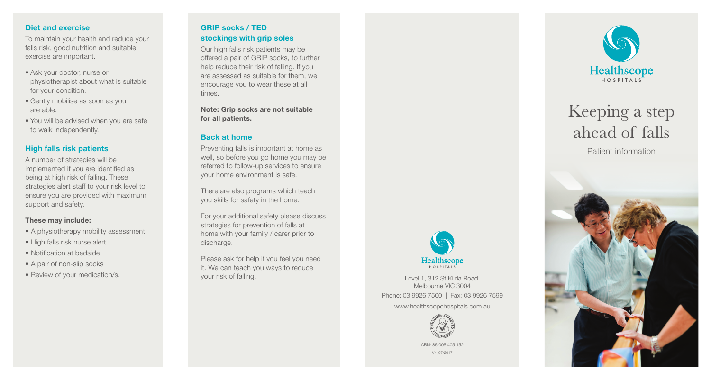#### Diet and exercise

To maintain your health and reduce your falls risk, good nutrition and suitable exercise are important.

- Ask your doctor, nurse or physiotherapist about what is suitable for your condition.
- Gently mobilise as soon as you are able.
- You will be advised when you are safe to walk independently.

#### High falls risk patients

A number of strategies will be implemented if you are identified as being at high risk of falling. These strategies alert staff to your risk level to ensure you are provided with maximum support and safety.

#### These may include:

- A physiotherapy mobility assessment
- High falls risk nurse alert
- Notification at bedside
- A pair of non-slip socks
- Review of your medication/s.

### GRIP socks / TED stockings with grip soles

Our high falls risk patients may be offered a pair of GRIP socks, to further help reduce their risk of falling. If you are assessed as suitable for them, we encourage you to wear these at all times.

Note: Grip socks are not suitable for all patients.

#### Back at home

Preventing falls is important at home as well, so before you go home you may be referred to follow-up services to ensure your home environment is safe.

There are also programs which teach you skills for safety in the home.

For your additional safety please discuss strategies for prevention of falls at home with your family / carer prior to discharge.

Please ask for help if you feel you need it. We can teach you ways to reduce your risk of falling.



Healthscope Level 1, 312 St Kilda Road, Melbourne VIC 3004

Phone: 03 9926 7500 | Fax: 03 9926 7599 www.healthscopehospitals.com.au



ABN: 85 005 405 152 V4\_07/2017